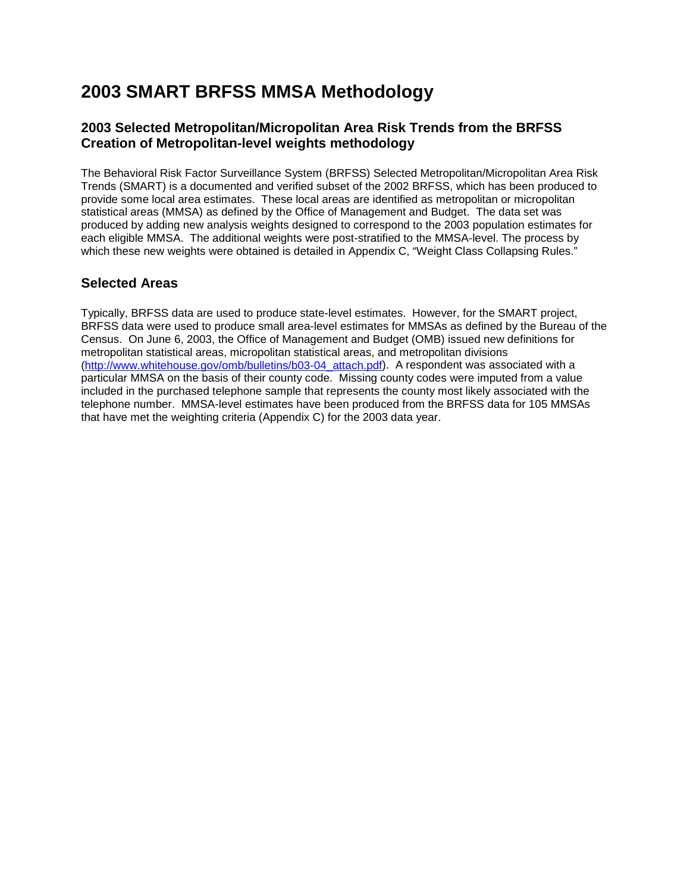# **2003 SMART BRFSS MMSA Methodology**

### **2003 Selected Metropolitan/Micropolitan Area Risk Trends from the BRFSS Creation of Metropolitan-level weights methodology**

The Behavioral Risk Factor Surveillance System (BRFSS) Selected Metropolitan/Micropolitan Area Risk Trends (SMART) is a documented and verified subset of the 2002 BRFSS, which has been produced to provide some local area estimates. These local areas are identified as metropolitan or micropolitan statistical areas (MMSA) as defined by the Office of Management and Budget. The data set was produced by adding new analysis weights designed to correspond to the 2003 population estimates for each eligible MMSA. The additional weights were post-stratified to the MMSA-level. The process by which these new weights were obtained is detailed in Appendix C, "Weight Class Collapsing Rules."

### **Selected Areas**

Typically, BRFSS data are used to produce state-level estimates. However, for the SMART project, BRFSS data were used to produce small area-level estimates for MMSAs as defined by the Bureau of the Census. On June 6, 2003, the Office of Management and Budget (OMB) issued new definitions for metropolitan statistical areas, micropolitan statistical areas, and metropolitan divisions [\(http://www.whitehouse.gov/omb/bulletins/b03-04\\_attach.pdf\)](http://www.whitehouse.gov/omb/bulletins/b03-04_attach.pdf). A respondent was associated with a particular MMSA on the basis of their county code. Missing county codes were imputed from a value included in the purchased telephone sample that represents the county most likely associated with the telephone number. MMSA-level estimates have been produced from the BRFSS data for 105 MMSAs that have met the weighting criteria (Appendix C) for the 2003 data year.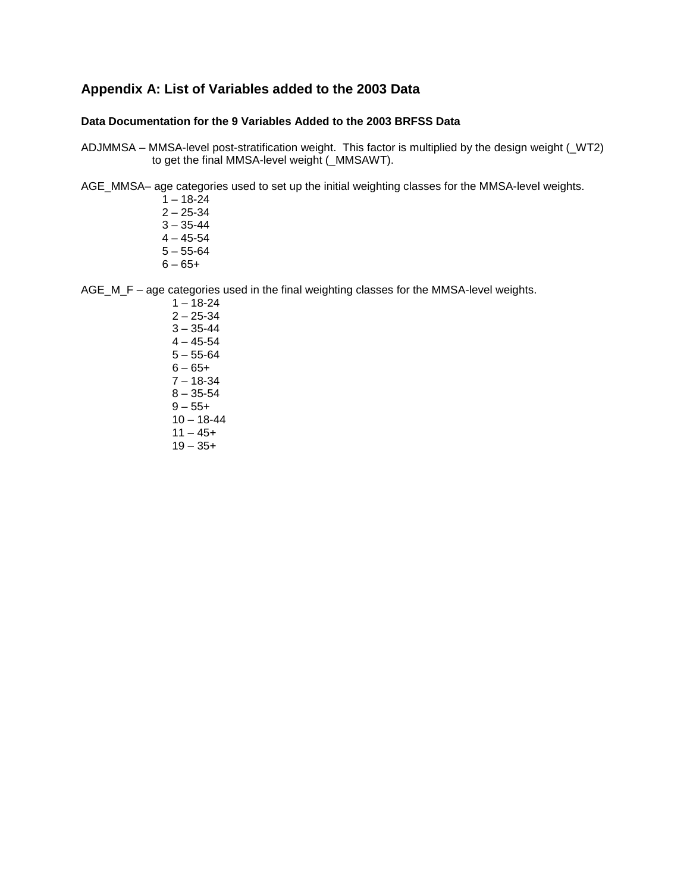### **Appendix A: List of Variables added to the 2003 Data**

#### **Data Documentation for the 9 Variables Added to the 2003 BRFSS Data**

- ADJMMSA MMSA-level post-stratification weight. This factor is multiplied by the design weight (\_WT2) to get the final MMSA-level weight (\_MMSAWT).
- AGE\_MMSA– age categories used to set up the initial weighting classes for the MMSA-level weights.
	- $1 18 24$  $2 - 25 - 34$  $3 - 35 - 44$  $4 - 45 - 54$  $5 - 55 - 64$  $6 - 65 +$

AGE\_M\_F – age categories used in the final weighting classes for the MMSA-level weights.

 $1 - 18 - 24$  $2 - 25 - 34$  $3 - 35 - 44$  $4 - 45 - 54$  $5 - 55 - 64$  $6 - 65 +$ 7 – 18-34  $8 - 35 - 54$  $9 - 55 +$  $10 - 18 - 44$  $11 - 45+$  $19 - 35+$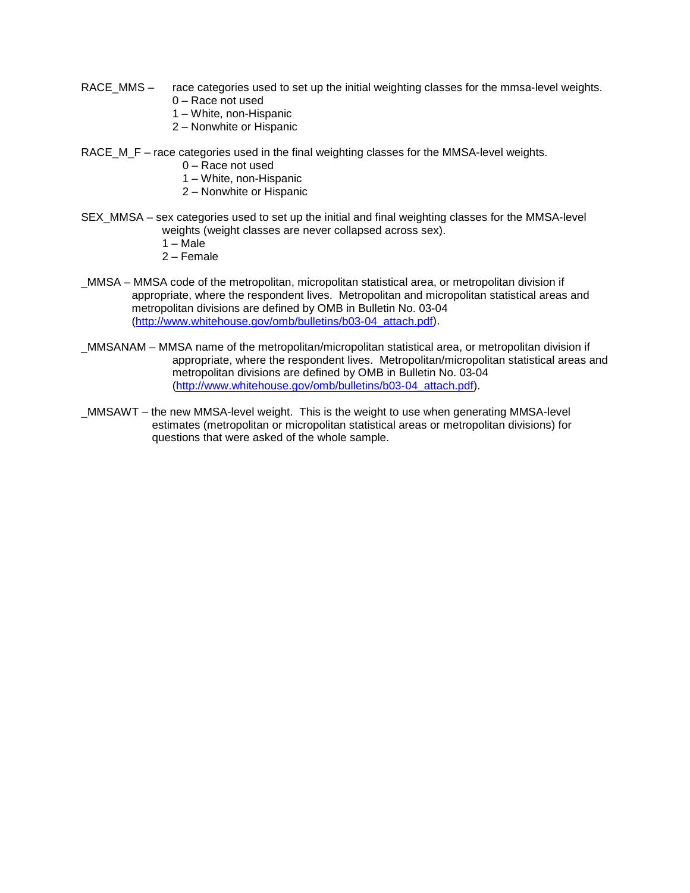- RACE\_MMS race categories used to set up the initial weighting classes for the mmsa-level weights. 0 – Race not used
	- 1 White, non-Hispanic
	- 2 Nonwhite or Hispanic
- RACE M\_F race categories used in the final weighting classes for the MMSA-level weights.
	- 0 Race not used
	- 1 White, non-Hispanic
	- 2 Nonwhite or Hispanic
- SEX\_MMSA sex categories used to set up the initial and final weighting classes for the MMSA-level weights (weight classes are never collapsed across sex).
	- $1 \overline{\text{Male}}$
	- 2 Female
- \_MMSA MMSA code of the metropolitan, micropolitan statistical area, or metropolitan division if appropriate, where the respondent lives. Metropolitan and micropolitan statistical areas and metropolitan divisions are defined by OMB in Bulletin No. 03-04 [\(http://www.whitehouse.gov/omb/bulletins/b03-04\\_attach.pdf\)](http://www.whitehouse.gov/omb/bulletins/b03-04_attach.pdf).
- \_MMSANAM MMSA name of the metropolitan/micropolitan statistical area, or metropolitan division if appropriate, where the respondent lives. Metropolitan/micropolitan statistical areas and metropolitan divisions are defined by OMB in Bulletin No. 03-04 [\(http://www.whitehouse.gov/omb/bulletins/b03-04\\_attach.pdf\)](http://www.whitehouse.gov/omb/bulletins/b03-04_attach.pdf).
- \_MMSAWT the new MMSA-level weight. This is the weight to use when generating MMSA-level estimates (metropolitan or micropolitan statistical areas or metropolitan divisions) for questions that were asked of the whole sample.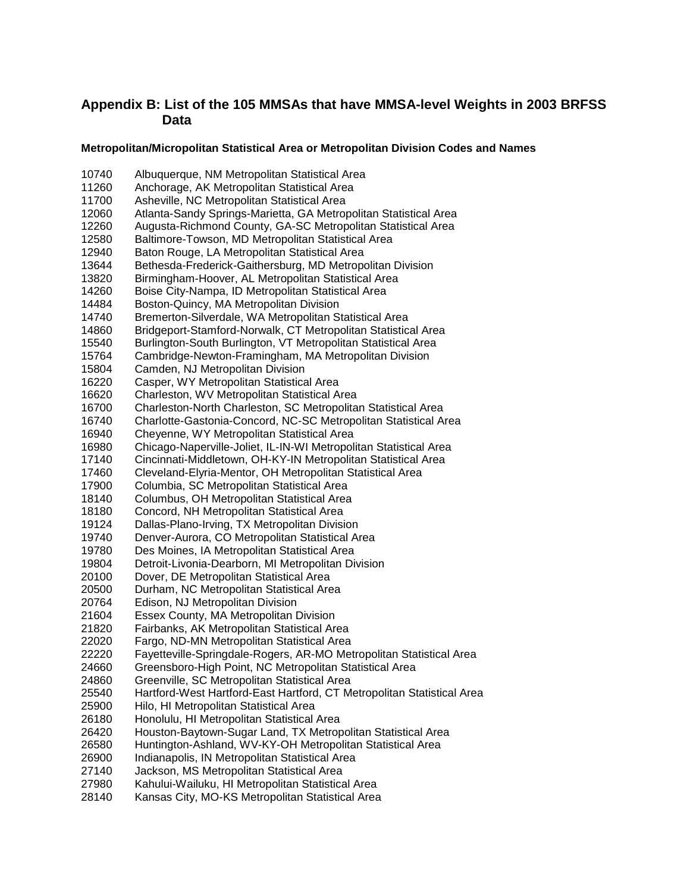### **Appendix B: List of the 105 MMSAs that have MMSA-level Weights in 2003 BRFSS Data**

#### **Metropolitan/Micropolitan Statistical Area or Metropolitan Division Codes and Names**

 Albuquerque, NM Metropolitan Statistical Area Anchorage, AK Metropolitan Statistical Area Asheville, NC Metropolitan Statistical Area Atlanta-Sandy Springs-Marietta, GA Metropolitan Statistical Area Augusta-Richmond County, GA-SC Metropolitan Statistical Area Baltimore-Towson, MD Metropolitan Statistical Area Baton Rouge, LA Metropolitan Statistical Area 13644 Bethesda-Frederick-Gaithersburg, MD Metropolitan Division<br>13820 Birmingham-Hoover, AL Metropolitan Statistical Area 13820 Birmingham-Hoover, AL Metropolitan Statistical Area<br>14260 Boise City-Nampa, ID Metropolitan Statistical Area 14260 Boise City-Nampa, ID Metropolitan Statistical Area<br>14484 Boston-Quincy, MA Metropolitan Division Boston-Quincy, MA Metropolitan Division Bremerton-Silverdale, WA Metropolitan Statistical Area Bridgeport-Stamford-Norwalk, CT Metropolitan Statistical Area Burlington-South Burlington, VT Metropolitan Statistical Area Cambridge-Newton-Framingham, MA Metropolitan Division Camden, NJ Metropolitan Division Casper, WY Metropolitan Statistical Area Charleston, WV Metropolitan Statistical Area Charleston-North Charleston, SC Metropolitan Statistical Area Charlotte-Gastonia-Concord, NC-SC Metropolitan Statistical Area Cheyenne, WY Metropolitan Statistical Area Chicago-Naperville-Joliet, IL-IN-WI Metropolitan Statistical Area Cincinnati-Middletown, OH-KY-IN Metropolitan Statistical Area Cleveland-Elyria-Mentor, OH Metropolitan Statistical Area 17900 Columbia, SC Metropolitan Statistical Area<br>18140 Columbus, OH Metropolitan Statistical Area Columbus, OH Metropolitan Statistical Area Concord, NH Metropolitan Statistical Area Dallas-Plano-Irving, TX Metropolitan Division Denver-Aurora, CO Metropolitan Statistical Area Des Moines, IA Metropolitan Statistical Area 19804 Detroit-Livonia-Dearborn, MI Metropolitan Division<br>20100 Dover. DE Metropolitan Statistical Area Dover, DE Metropolitan Statistical Area Durham, NC Metropolitan Statistical Area Edison, NJ Metropolitan Division Essex County, MA Metropolitan Division Fairbanks, AK Metropolitan Statistical Area Fargo, ND-MN Metropolitan Statistical Area Fayetteville-Springdale-Rogers, AR-MO Metropolitan Statistical Area Greensboro-High Point, NC Metropolitan Statistical Area Greenville, SC Metropolitan Statistical Area Hartford-West Hartford-East Hartford, CT Metropolitan Statistical Area Hilo, HI Metropolitan Statistical Area Honolulu, HI Metropolitan Statistical Area Houston-Baytown-Sugar Land, TX Metropolitan Statistical Area Huntington-Ashland, WV-KY-OH Metropolitan Statistical Area Indianapolis, IN Metropolitan Statistical Area Jackson, MS Metropolitan Statistical Area Kahului-Wailuku, HI Metropolitan Statistical Area Kansas City, MO-KS Metropolitan Statistical Area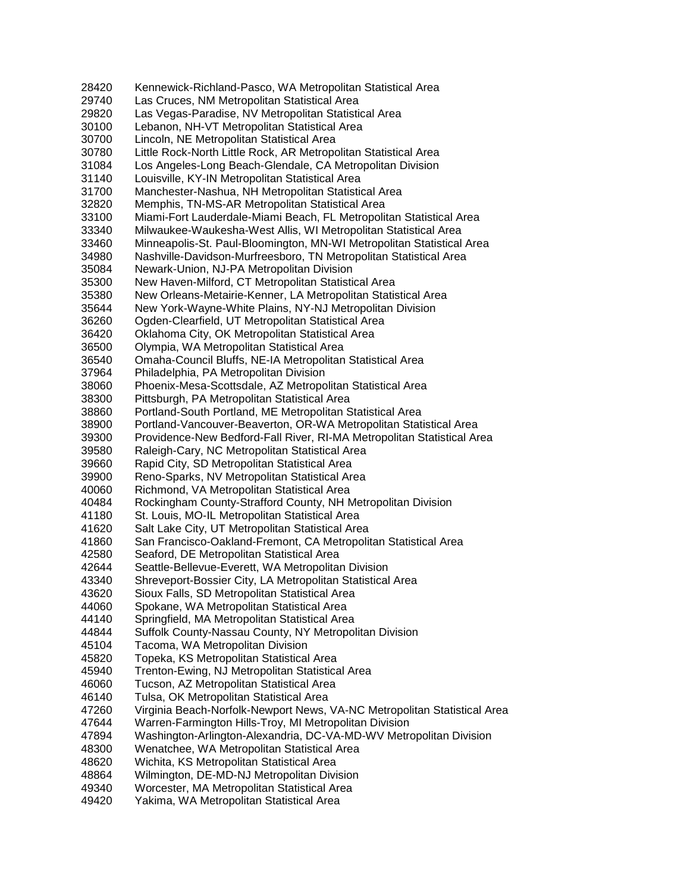Kennewick-Richland-Pasco, WA Metropolitan Statistical Area Las Cruces, NM Metropolitan Statistical Area Las Vegas-Paradise, NV Metropolitan Statistical Area Lebanon, NH-VT Metropolitan Statistical Area Lincoln, NE Metropolitan Statistical Area Little Rock-North Little Rock, AR Metropolitan Statistical Area Los Angeles-Long Beach-Glendale, CA Metropolitan Division Louisville, KY-IN Metropolitan Statistical Area Manchester-Nashua, NH Metropolitan Statistical Area Memphis, TN-MS-AR Metropolitan Statistical Area Miami-Fort Lauderdale-Miami Beach, FL Metropolitan Statistical Area Milwaukee-Waukesha-West Allis, WI Metropolitan Statistical Area Minneapolis-St. Paul-Bloomington, MN-WI Metropolitan Statistical Area Nashville-Davidson-Murfreesboro, TN Metropolitan Statistical Area Newark-Union, NJ-PA Metropolitan Division New Haven-Milford, CT Metropolitan Statistical Area New Orleans-Metairie-Kenner, LA Metropolitan Statistical Area New York-Wayne-White Plains, NY-NJ Metropolitan Division Ogden-Clearfield, UT Metropolitan Statistical Area Oklahoma City, OK Metropolitan Statistical Area Olympia, WA Metropolitan Statistical Area Omaha-Council Bluffs, NE-IA Metropolitan Statistical Area Philadelphia, PA Metropolitan Division Phoenix-Mesa-Scottsdale, AZ Metropolitan Statistical Area Pittsburgh, PA Metropolitan Statistical Area Portland-South Portland, ME Metropolitan Statistical Area Portland-Vancouver-Beaverton, OR-WA Metropolitan Statistical Area Providence-New Bedford-Fall River, RI-MA Metropolitan Statistical Area Raleigh-Cary, NC Metropolitan Statistical Area Rapid City, SD Metropolitan Statistical Area Reno-Sparks, NV Metropolitan Statistical Area Richmond, VA Metropolitan Statistical Area Rockingham County-Strafford County, NH Metropolitan Division St. Louis, MO-IL Metropolitan Statistical Area Salt Lake City, UT Metropolitan Statistical Area San Francisco-Oakland-Fremont, CA Metropolitan Statistical Area Seaford, DE Metropolitan Statistical Area Seattle-Bellevue-Everett, WA Metropolitan Division Shreveport-Bossier City, LA Metropolitan Statistical Area Sioux Falls, SD Metropolitan Statistical Area Spokane, WA Metropolitan Statistical Area Springfield, MA Metropolitan Statistical Area Suffolk County-Nassau County, NY Metropolitan Division Tacoma, WA Metropolitan Division Topeka, KS Metropolitan Statistical Area Trenton-Ewing, NJ Metropolitan Statistical Area Tucson, AZ Metropolitan Statistical Area Tulsa, OK Metropolitan Statistical Area Virginia Beach-Norfolk-Newport News, VA-NC Metropolitan Statistical Area Warren-Farmington Hills-Troy, MI Metropolitan Division Washington-Arlington-Alexandria, DC-VA-MD-WV Metropolitan Division Wenatchee, WA Metropolitan Statistical Area Wichita, KS Metropolitan Statistical Area Wilmington, DE-MD-NJ Metropolitan Division Worcester, MA Metropolitan Statistical Area Yakima, WA Metropolitan Statistical Area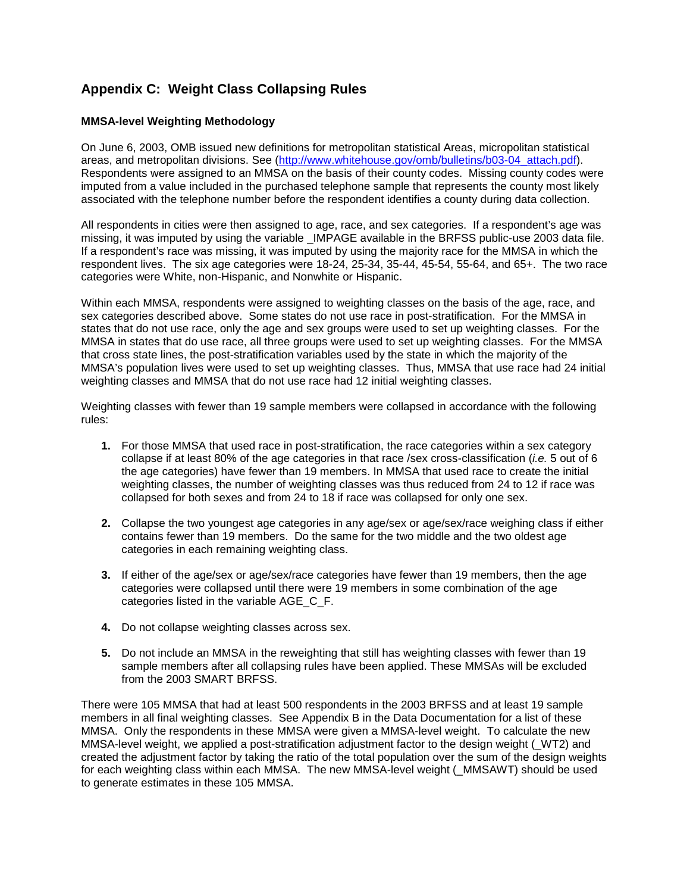## **Appendix C: Weight Class Collapsing Rules**

### **MMSA-level Weighting Methodology**

On June 6, 2003, OMB issued new definitions for metropolitan statistical Areas, micropolitan statistical areas, and metropolitan divisions. See [\(http://www.whitehouse.gov/omb/bulletins/b03-04\\_attach.pdf\)](http://www.whitehouse.gov/omb/bulletins/b03-04_attach.pdf). Respondents were assigned to an MMSA on the basis of their county codes. Missing county codes were imputed from a value included in the purchased telephone sample that represents the county most likely associated with the telephone number before the respondent identifies a county during data collection.

All respondents in cities were then assigned to age, race, and sex categories. If a respondent's age was missing, it was imputed by using the variable IMPAGE available in the BRFSS public-use 2003 data file. If a respondent's race was missing, it was imputed by using the majority race for the MMSA in which the respondent lives. The six age categories were 18-24, 25-34, 35-44, 45-54, 55-64, and 65+. The two race categories were White, non-Hispanic, and Nonwhite or Hispanic.

Within each MMSA, respondents were assigned to weighting classes on the basis of the age, race, and sex categories described above. Some states do not use race in post-stratification. For the MMSA in states that do not use race, only the age and sex groups were used to set up weighting classes. For the MMSA in states that do use race, all three groups were used to set up weighting classes. For the MMSA that cross state lines, the post-stratification variables used by the state in which the majority of the MMSA's population lives were used to set up weighting classes. Thus, MMSA that use race had 24 initial weighting classes and MMSA that do not use race had 12 initial weighting classes.

Weighting classes with fewer than 19 sample members were collapsed in accordance with the following rules:

- **1.** For those MMSA that used race in post-stratification, the race categories within a sex category collapse if at least 80% of the age categories in that race /sex cross-classification (*i.e.* 5 out of 6 the age categories) have fewer than 19 members. In MMSA that used race to create the initial weighting classes, the number of weighting classes was thus reduced from 24 to 12 if race was collapsed for both sexes and from 24 to 18 if race was collapsed for only one sex.
- **2.** Collapse the two youngest age categories in any age/sex or age/sex/race weighing class if either contains fewer than 19 members. Do the same for the two middle and the two oldest age categories in each remaining weighting class.
- **3.** If either of the age/sex or age/sex/race categories have fewer than 19 members, then the age categories were collapsed until there were 19 members in some combination of the age categories listed in the variable AGE\_C\_F.
- **4.** Do not collapse weighting classes across sex.
- **5.** Do not include an MMSA in the reweighting that still has weighting classes with fewer than 19 sample members after all collapsing rules have been applied. These MMSAs will be excluded from the 2003 SMART BRFSS.

There were 105 MMSA that had at least 500 respondents in the 2003 BRFSS and at least 19 sample members in all final weighting classes. See Appendix B in the Data Documentation for a list of these MMSA. Only the respondents in these MMSA were given a MMSA-level weight. To calculate the new MMSA-level weight, we applied a post-stratification adjustment factor to the design weight ( WT2) and created the adjustment factor by taking the ratio of the total population over the sum of the design weights for each weighting class within each MMSA. The new MMSA-level weight (\_MMSAWT) should be used to generate estimates in these 105 MMSA.